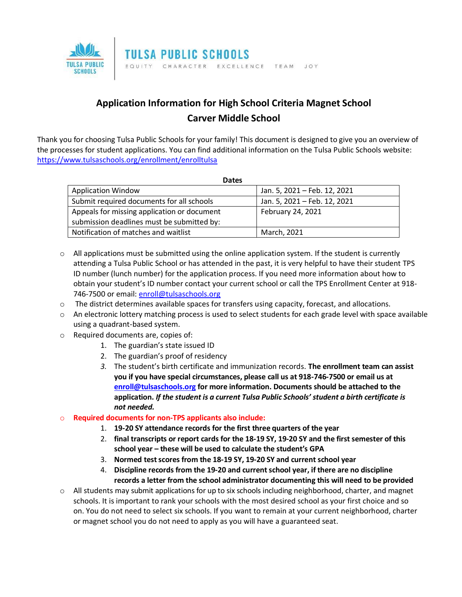

## **Application Information for High School Criteria Magnet School Carver Middle School**

Thank you for choosing Tulsa Public Schools for your family! This document is designed to give you an overview of the processes for student applications. You can find additional information on the Tulsa Public Schools website: <https://www.tulsaschools.org/enrollment/enrolltulsa>

| <b>Dates</b>                                |                              |
|---------------------------------------------|------------------------------|
| <b>Application Window</b>                   | Jan. 5, 2021 - Feb. 12, 2021 |
| Submit required documents for all schools   | Jan. 5, 2021 - Feb. 12, 2021 |
| Appeals for missing application or document | February 24, 2021            |
| submission deadlines must be submitted by:  |                              |
| Notification of matches and waitlist        | March, 2021                  |

- $\circ$  All applications must be submitted using the online application system. If the student is currently attending a Tulsa Public School or has attended in the past, it is very helpful to have their student TPS ID number (lunch number) for the application process. If you need more information about how to obtain your student's ID number contact your current school or call the TPS Enrollment Center at 918 746-7500 or email: [enroll@tulsaschools.org](mailto:enroll@tulsaschools.org)
- $\circ$  The district determines available spaces for transfers using capacity, forecast, and allocations.
- $\circ$  An electronic lottery matching process is used to select students for each grade level with space available using a quadrant-based system.
- o Required documents are, copies of:
	- 1. The guardian's state issued ID
	- 2. The guardian's proof of residency
	- *3.* The student's birth certificate and immunization records. **The enrollment team can assist you if you have special circumstances, please call us at 918-746-7500 or email us at [enroll@tulsaschools.org](mailto:enroll@tulsaschools.org) for more information. Documents should be attached to the application.** *If the student is a current Tulsa Public Schools' student a birth certificate is not needed.*

## o **Required documents for non-TPS applicants also include:**

- 1. **19-20 SY attendance records for the first three quarters of the year**
- 2. **final transcripts or report cards for the 18-19 SY, 19-20 SY and the first semester of this school year – these will be used to calculate the student's GPA**
- 3. **Normed test scores from the 18-19 SY, 19-20 SY and current school year**
- 4. **Discipline records from the 19-20 and current school year, if there are no discipline records a letter from the school administrator documenting this will need to be provided**
- $\circ$  All students may submit applications for up to six schools including neighborhood, charter, and magnet schools. It is important to rank your schools with the most desired school as your first choice and so on. You do not need to select six schools. If you want to remain at your current neighborhood, charter or magnet school you do not need to apply as you will have a guaranteed seat.